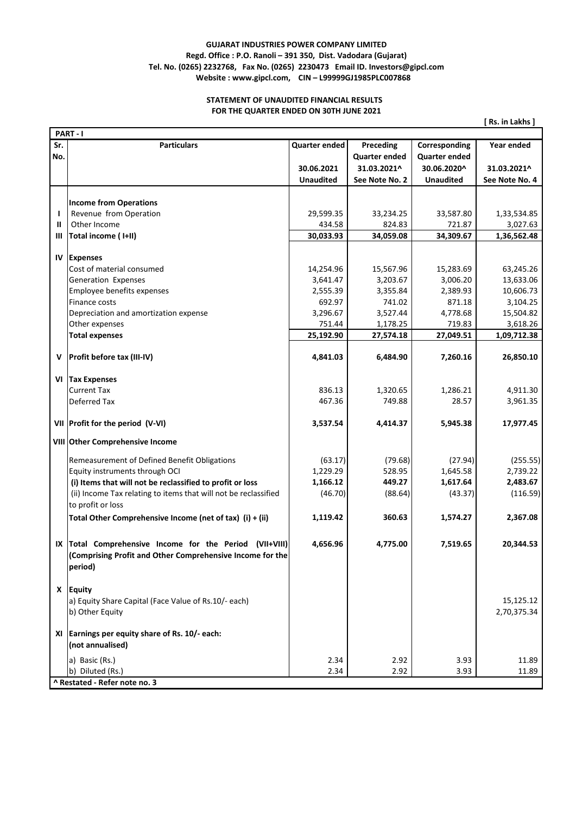## **GUJARAT INDUSTRIES POWER COMPANY LIMITED Regd. Office : P.O. Ranoli – 391 350, Dist. Vadodara (Gujarat) Tel. No. (0265) 2232768, Fax No. (0265) 2230473 Email ID. Investors@gipcl.com Website : www.gipcl.com, CIN – L99999GJ1985PLC007868**

## **STATEMENT OF UNAUDITED FINANCIAL RESULTS FOR THE QUARTER ENDED ON 30TH JUNE 2021**

**[ Rs. in Lakhs ]**

|     | PART-I                                                          |                       |                      |                      |                |  |  |  |  |
|-----|-----------------------------------------------------------------|-----------------------|----------------------|----------------------|----------------|--|--|--|--|
| Sr. | <b>Particulars</b>                                              | <b>Quarter ended</b>  | Preceding            | Corresponding        | Year ended     |  |  |  |  |
| No. |                                                                 |                       | <b>Quarter ended</b> | <b>Quarter ended</b> |                |  |  |  |  |
|     |                                                                 | 30.06.2021            | 31.03.2021^          | 30.06.2020^          | 31.03.2021^    |  |  |  |  |
|     |                                                                 | <b>Unaudited</b>      | See Note No. 2       | <b>Unaudited</b>     | See Note No. 4 |  |  |  |  |
|     |                                                                 |                       |                      |                      |                |  |  |  |  |
|     | <b>Income from Operations</b>                                   |                       |                      |                      |                |  |  |  |  |
| I.  | Revenue from Operation                                          | 29,599.35             | 33,234.25            | 33,587.80            | 1,33,534.85    |  |  |  |  |
| Ш   | Other Income                                                    | 434.58                | 824.83               | 721.87               | 3,027.63       |  |  |  |  |
| Ш   | Total income (I+II)                                             | 30,033.93             | 34,059.08            | 34,309.67            | 1,36,562.48    |  |  |  |  |
|     | <b>IV Expenses</b>                                              |                       |                      |                      |                |  |  |  |  |
|     | Cost of material consumed                                       |                       | 15,567.96            | 15,283.69            | 63,245.26      |  |  |  |  |
|     | Generation Expenses                                             | 14,254.96<br>3,641.47 | 3,203.67             | 3,006.20             | 13,633.06      |  |  |  |  |
|     | Employee benefits expenses                                      | 2,555.39              | 3,355.84             | 2,389.93             | 10,606.73      |  |  |  |  |
|     | Finance costs                                                   | 692.97                | 741.02               | 871.18               | 3,104.25       |  |  |  |  |
|     |                                                                 | 3,296.67              | 3,527.44             | 4,778.68             | 15,504.82      |  |  |  |  |
|     | Depreciation and amortization expense<br>Other expenses         | 751.44                | 1,178.25             | 719.83               | 3,618.26       |  |  |  |  |
|     | <b>Total expenses</b>                                           | 25,192.90             | 27,574.18            | 27,049.51            | 1,09,712.38    |  |  |  |  |
|     |                                                                 |                       |                      |                      |                |  |  |  |  |
| v   | Profit before tax (III-IV)                                      | 4,841.03              | 6,484.90             | 7,260.16             | 26,850.10      |  |  |  |  |
|     |                                                                 |                       |                      |                      |                |  |  |  |  |
|     | <b>VI</b> Tax Expenses                                          |                       |                      |                      |                |  |  |  |  |
|     | <b>Current Tax</b>                                              | 836.13                | 1,320.65             | 1,286.21             | 4,911.30       |  |  |  |  |
|     | Deferred Tax                                                    | 467.36                | 749.88               | 28.57                | 3,961.35       |  |  |  |  |
|     | VII   Profit for the period (V-VI)                              | 3,537.54              | 4,414.37             | 5,945.38             | 17,977.45      |  |  |  |  |
|     | VIII Other Comprehensive Income                                 |                       |                      |                      |                |  |  |  |  |
|     | Remeasurement of Defined Benefit Obligations                    | (63.17)               | (79.68)              | (27.94)              | (255.55)       |  |  |  |  |
|     | Equity instruments through OCI                                  | 1,229.29              | 528.95               | 1,645.58             | 2,739.22       |  |  |  |  |
|     | (i) Items that will not be reclassified to profit or loss       | 1,166.12              | 449.27               | 1,617.64             | 2,483.67       |  |  |  |  |
|     | (ii) Income Tax relating to items that will not be reclassified | (46.70)               | (88.64)              | (43.37)              | (116.59)       |  |  |  |  |
|     | to profit or loss                                               |                       |                      |                      |                |  |  |  |  |
|     | Total Other Comprehensive Income (net of tax) (i) + (ii)        | 1,119.42              | 360.63               | 1,574.27             | 2,367.08       |  |  |  |  |
|     | IX Total Comprehensive Income for the Period (VII+VIII)         | 4,656.96              | 4,775.00             | 7,519.65             | 20,344.53      |  |  |  |  |
|     | (Comprising Profit and Other Comprehensive Income for the       |                       |                      |                      |                |  |  |  |  |
|     | period)                                                         |                       |                      |                      |                |  |  |  |  |
|     | X Equity                                                        |                       |                      |                      |                |  |  |  |  |
|     | a) Equity Share Capital (Face Value of Rs.10/- each)            |                       |                      |                      | 15,125.12      |  |  |  |  |
|     | b) Other Equity                                                 |                       |                      |                      | 2,70,375.34    |  |  |  |  |
|     | XI Earnings per equity share of Rs. 10/- each:                  |                       |                      |                      |                |  |  |  |  |
|     | (not annualised)                                                |                       |                      |                      |                |  |  |  |  |
|     | a) Basic (Rs.)                                                  | 2.34                  | 2.92                 | 3.93                 | 11.89          |  |  |  |  |
|     | b) Diluted (Rs.)                                                | 2.34                  | 2.92                 | 3.93                 | 11.89          |  |  |  |  |
|     | ^ Restated - Refer note no. 3                                   |                       |                      |                      |                |  |  |  |  |